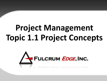# **Project Management Topic 1.1 Project Concepts**

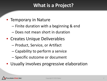# **What is a Project?**

## • Temporary in Nature

- Finite duration with a beginning & end
- Does not mean short in duration
- Creates Unique Deliverables
	- Product, Service, or Artifact
	- Capability to perform a service
	- Specific outcome or document
- Usually involves progressive elaboration

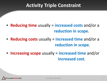# **Activity Triple Constraint**

- **Reducing time** usually = **increased costs** and/or a **reduction in scope**.
- **Reducing costs** usually = **increased time** and/or a **reduction in scope**.
- **Increasing scope** usually = **increased time** and/or **increased cost**.

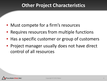## **Other Project Characteristics**

- Must compete for a firm's resources
- Requires resources from multiple functions
- Has a specific customer or group of customers
- Project manager usually does not have direct control of all resources

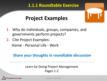## **1.1.1 Roundtable Exercise**

# **Project Examples**

- 1. Why do individuals, groups, companies, and governments perform projects?
- 2. Cite Project Examples:

Home - Personal Life - Work

#### **Share your thoughts in roundtable discussion**

#### Learn by Doing Project Management Pages 1-2

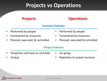# **Projects vs Operations**

#### **Projects** • Performed by people • Constrained by resources • Planned, executed, & controlled **Operations** Performed by people • Constrained by resources • Planned, executed & controlled **Common Features Unique Features**

- Temporary and have an end date
- On-going

• Unique

Repetitive to sustain business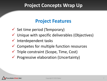## **Project Concepts Wrap Up**

# **Project Features**

- $\checkmark$  Set time period (Temporary)
- $\checkmark$  Unique with specific deliverables (Objectives)
- $\checkmark$  Interdependent tasks
- $\checkmark$  Competes for multiple function resources
- $\checkmark$  Triple constraint (Scope, Time, Cost)
- $\checkmark$  Progressive elaboration (Uncertainty)